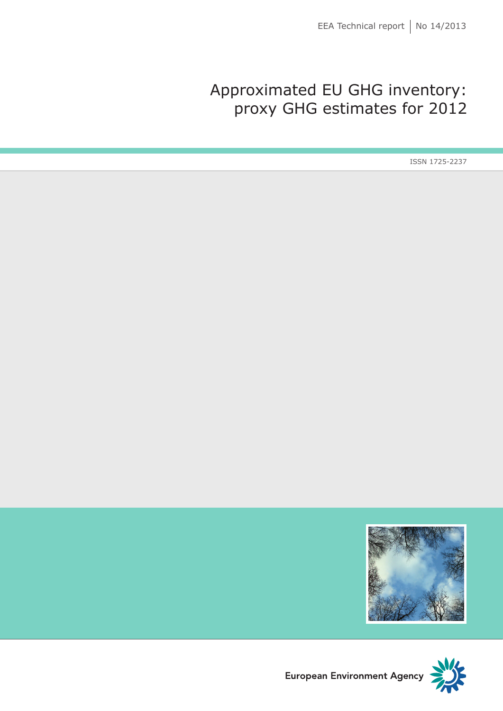# Approximated EU GHG inventory: proxy GHG estimates for 2012

ISSN 1725-2237





European Environment Agency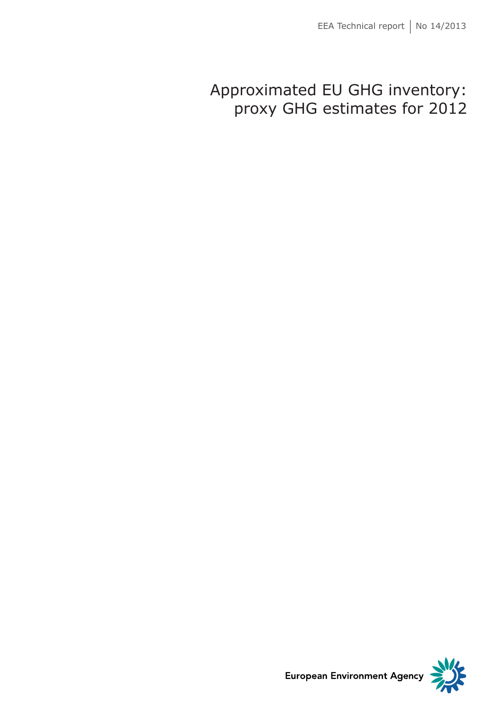# Approximated EU GHG inventory: proxy GHG estimates for 2012



**European Environment Agency**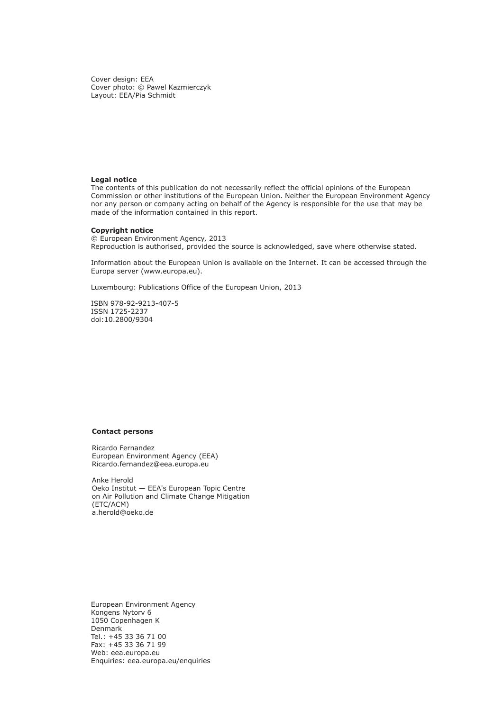Cover design: EEA Cover photo: © Pawel Kazmierczyk Layout: EEA/Pia Schmidt

#### **Legal notice**

The contents of this publication do not necessarily reflect the official opinions of the European Commission or other institutions of the European Union. Neither the European Environment Agency nor any person or company acting on behalf of the Agency is responsible for the use that may be made of the information contained in this report.

#### **Copyright notice**

© European Environment Agency, 2013 Reproduction is authorised, provided the source is acknowledged, save where otherwise stated.

Information about the European Union is available on the Internet. It can be accessed through the Europa server (www.europa.eu).

Luxembourg: Publications Office of the European Union, 2013

ISBN 978-92-9213-407-5 ISSN 1725-2237 doi:10.2800/9304

#### **Contact persons**

Ricardo Fernandez European Environment Agency (EEA) [Ricardo.fernandez@eea.europa.eu](mailto:Ricardo.fernandez@eea.europa.eu)

Anke Herold Oeko Institut — EEA's European Topic Centre on Air Pollution and Climate Change Mitigation (ETC/ACM) [a.herold@oeko.de](mailto:a.herold@oeko.de)

European Environment Agency Kongens Nytorv 6 1050 Copenhagen K Denmark Tel.: +45 33 36 71 00 Fax: +45 33 36 71 99 Web: [eea.europa.eu](http://www.eea.europa.eu) Enquiries: [eea.europa.eu/enquiries](http://www.eea.europa.eu/enquiries)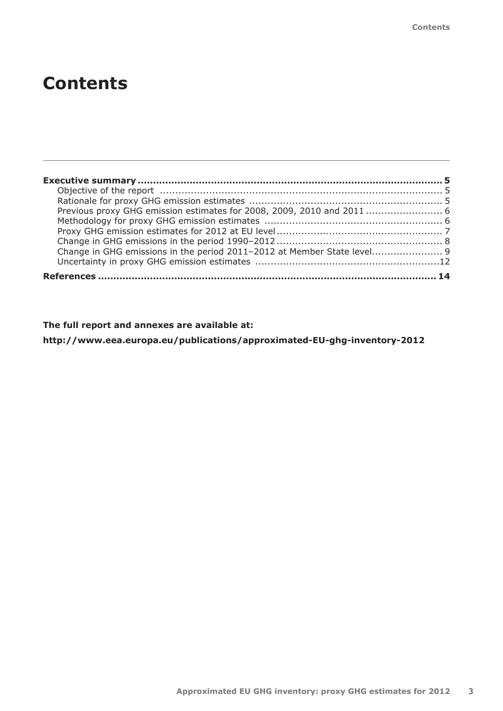| Change in GHG emissions in the period 2011-2012 at Member State level 9 |  |
|-------------------------------------------------------------------------|--|
|                                                                         |  |
|                                                                         |  |

# **The full report and annexes are available at:**

**[http://www.eea.europa.eu/publications/approximated-EU-ghg-inventory-2012](http://www.eea.europa.eu/publications/approximated-eu-ghg-inventory-2012)**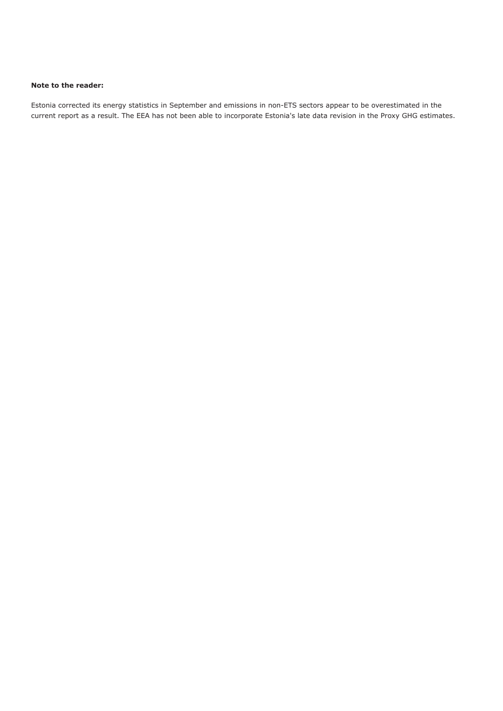#### **Note to the reader:**

Estonia corrected its energy statistics in September and emissions in non-ETS sectors appear to be overestimated in the current report as a result. The EEA has not been able to incorporate Estonia's late data revision in the Proxy GHG estimates.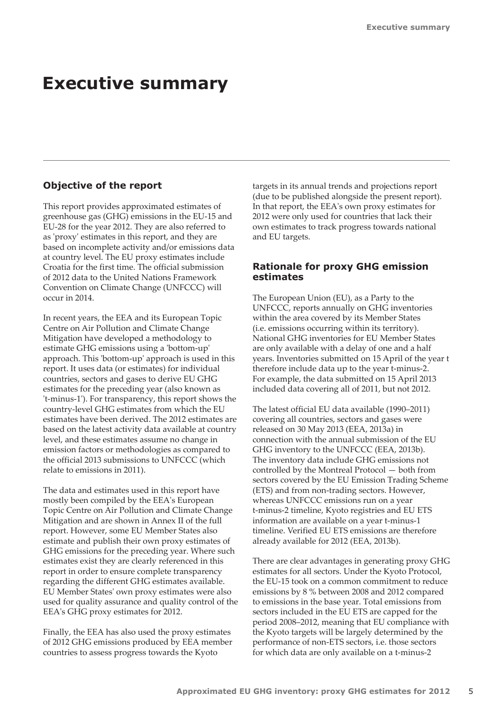# <span id="page-6-0"></span>**Executive summary**

## **Objective of the report**

This report provides approximated estimates of greenhouse gas (GHG) emissions in the EU‑15 and EU‑28 for the year 2012. They are also referred to as 'proxy' estimates in this report, and they are based on incomplete activity and/or emissions data at country level. The EU proxy estimates include Croatia for the first time. The official submission of 2012 data to the United Nations Framework Convention on Climate Change (UNFCCC) will occur in 2014.

In recent years, the EEA and its European Topic Centre on Air Pollution and Climate Change Mitigation have developed a methodology to estimate GHG emissions using a 'bottom‑up' approach. This 'bottom‑up' approach is used in this report. It uses data (or estimates) for individual countries, sectors and gases to derive EU GHG estimates for the preceding year (also known as 't‑minus‑1'). For transparency, this report shows the country-level GHG estimates from which the EU estimates have been derived. The 2012 estimates are based on the latest activity data available at country level, and these estimates assume no change in emission factors or methodologies as compared to the official 2013 submissions to UNFCCC (which relate to emissions in 2011).

The data and estimates used in this report have mostly been compiled by the EEA's European Topic Centre on Air Pollution and Climate Change Mitigation and are shown in Annex II of the full report. However, some EU Member States also estimate and publish their own proxy estimates of GHG emissions for the preceding year. Where such estimates exist they are clearly referenced in this report in order to ensure complete transparency regarding the different GHG estimates available. EU Member States' own proxy estimates were also used for quality assurance and quality control of the EEA's GHG proxy estimates for 2012.

Finally, the EEA has also used the proxy estimates of 2012 GHG emissions produced by EEA member countries to assess progress towards the Kyoto

targets in its annual trends and projections report (due to be published alongside the present report). In that report, the EEA's own proxy estimates for 2012 were only used for countries that lack their own estimates to track progress towards national and EU targets.

## **Rationale for proxy GHG emission estimates**

The European Union (EU), as a Party to the UNFCCC, reports annually on GHG inventories within the area covered by its Member States (i.e. emissions occurring within its territory). National GHG inventories for EU Member States are only available with a delay of one and a half years. Inventories submitted on 15 April of the year t therefore include data up to the year t‑minus‑2. For example, the data submitted on 15 April 2013 included data covering all of 2011, but not 2012.

The latest official EU data available (1990–2011) covering all countries, sectors and gases were released on 30 May 2013 (EEA, 2013a) in connection with the annual submission of the EU GHG inventory to the UNFCCC (EEA, 2013b). The inventory data include GHG emissions not controlled by the Montreal Protocol — both from sectors covered by the EU Emission Trading Scheme (ETS) and from non‑trading sectors. However, whereas UNFCCC emissions run on a year t-minus-2 timeline, Kyoto registries and EU ETS information are available on a year t-minus-1 timeline. Verified EU ETS emissions are therefore already available for 2012 (EEA, 2013b).

There are clear advantages in generating proxy GHG estimates for all sectors. Under the Kyoto Protocol, the EU‑15 took on a common commitment to reduce emissions by 8 % between 2008 and 2012 compared to emissions in the base year. Total emissions from sectors included in the EU ETS are capped for the period 2008–2012, meaning that EU compliance with the Kyoto targets will be largely determined by the performance of non‑ETS sectors, i.e. those sectors for which data are only available on a t-minus-2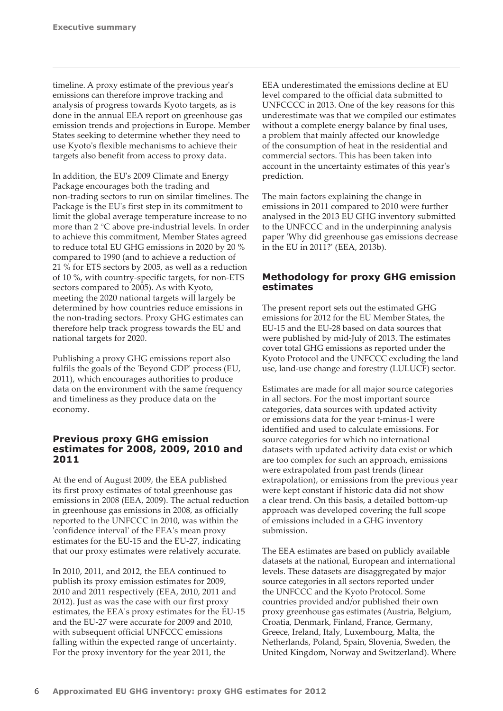<span id="page-7-0"></span>timeline. A proxy estimate of the previous year's emissions can therefore improve tracking and analysis of progress towards Kyoto targets, as is done in the annual EEA report on greenhouse gas emission trends and projections in Europe. Member States seeking to determine whether they need to use Kyoto's flexible mechanisms to achieve their targets also benefit from access to proxy data.

In addition, the EU's 2009 Climate and Energy Package encourages both the trading and non‑trading sectors to run on similar timelines. The Package is the EU's first step in its commitment to limit the global average temperature increase to no more than 2 °C above pre-industrial levels. In order to achieve this commitment, Member States agreed to reduce total EU GHG emissions in 2020 by 20 % compared to 1990 (and to achieve a reduction of 21 % for ETS sectors by 2005, as well as a reduction of 10 %, with country-specific targets, for non‑ETS sectors compared to 2005). As with Kyoto, meeting the 2020 national targets will largely be determined by how countries reduce emissions in the non-trading sectors. Proxy GHG estimates can therefore help track progress towards the EU and national targets for 2020.

Publishing a proxy GHG emissions report also fulfils the goals of the 'Beyond GDP' process (EU, 2011), which encourages authorities to produce data on the environment with the same frequency and timeliness as they produce data on the economy.

# **Previous proxy GHG emission estimates for 2008, 2009, 2010 and 2011**

At the end of August 2009, the EEA published its first proxy estimates of total greenhouse gas emissions in 2008 (EEA, 2009). The actual reduction in greenhouse gas emissions in 2008, as officially reported to the UNFCCC in 2010, was within the 'confidence interval' of the EEA's mean proxy estimates for the EU‑15 and the EU‑27, indicating that our proxy estimates were relatively accurate.

In 2010, 2011, and 2012, the EEA continued to publish its proxy emission estimates for 2009, 2010 and 2011 respectively (EEA, 2010, 2011 and 2012). Just as was the case with our first proxy estimates, the EEA's proxy estimates for the EU‑15 and the EU‑27 were accurate for 2009 and 2010, with subsequent official UNFCCC emissions falling within the expected range of uncertainty. For the proxy inventory for the year 2011, the

EEA underestimated the emissions decline at EU level compared to the official data submitted to UNFCCCC in 2013. One of the key reasons for this underestimate was that we compiled our estimates without a complete energy balance by final uses, a problem that mainly affected our knowledge of the consumption of heat in the residential and commercial sectors. This has been taken into account in the uncertainty estimates of this year's prediction.

The main factors explaining the change in emissions in 2011 compared to 2010 were further analysed in the 2013 EU GHG inventory submitted to the UNFCCC and in the underpinning analysis paper 'Why did greenhouse gas emissions decrease in the EU in 2011?' (EEA, 2013b).

# **Methodology for proxy GHG emission estimates**

The present report sets out the estimated GHG emissions for 2012 for the EU Member States, the EU‑15 and the EU‑28 based on data sources that were published by mid-July of 2013. The estimates cover total GHG emissions as reported under the Kyoto Protocol and the UNFCCC excluding the land use, land-use change and forestry (LULUCF) sector.

Estimates are made for all major source categories in all sectors. For the most important source categories, data sources with updated activity or emissions data for the year t-minus-1 were identified and used to calculate emissions. For source categories for which no international datasets with updated activity data exist or which are too complex for such an approach, emissions were extrapolated from past trends (linear extrapolation), or emissions from the previous year were kept constant if historic data did not show a clear trend. On this basis, a detailed bottom‑up approach was developed covering the full scope of emissions included in a GHG inventory submission.

The EEA estimates are based on publicly available datasets at the national, European and international levels. These datasets are disaggregated by major source categories in all sectors reported under the UNFCCC and the Kyoto Protocol. Some countries provided and/or published their own proxy greenhouse gas estimates (Austria, Belgium, Croatia, Denmark, Finland, France, Germany, Greece, Ireland, Italy, Luxembourg, Malta, the Netherlands, Poland, Spain, Slovenia, Sweden, the United Kingdom, Norway and Switzerland). Where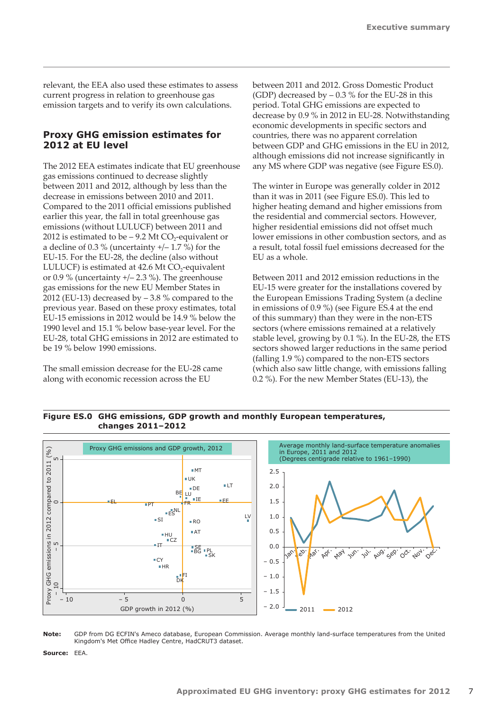<span id="page-8-0"></span>relevant, the EEA also used these estimates to assess current progress in relation to greenhouse gas emission targets and to verify its own calculations.

## **Proxy GHG emission estimates for 2012 at EU level**

The 2012 EEA estimates indicate that EU greenhouse gas emissions continued to decrease slightly between 2011 and 2012, although by less than the decrease in emissions between 2010 and 2011. Compared to the 2011 official emissions published earlier this year, the fall in total greenhouse gas emissions (without LULUCF) between 2011 and 2012 is estimated to be  $-9.2$  Mt CO<sub>2</sub>-equivalent or a decline of 0.3 % (uncertainty +/– 1.7 %) for the EU‑15. For the EU‑28, the decline (also without LULUCF) is estimated at  $42.6$  Mt CO<sub>2</sub>-equivalent or  $0.9\%$  (uncertainty  $+/- 2.3\%$ ). The greenhouse gas emissions for the new EU Member States in 2012 (EU-13) decreased by  $-3.8$  % compared to the previous year. Based on these proxy estimates, total EU‑15 emissions in 2012 would be 14.9 % below the 1990 level and 15.1 % below base-year level. For the EU‑28, total GHG emissions in 2012 are estimated to be 19 % below 1990 emissions.

The small emission decrease for the EU‑28 came along with economic recession across the EU

between 2011 and 2012. Gross Domestic Product (GDP) decreased by  $-0.3$  % for the EU-28 in this period. Total GHG emissions are expected to decrease by 0.9 % in 2012 in EU‑28. Notwithstanding economic developments in specific sectors and countries, there was no apparent correlation between GDP and GHG emissions in the EU in 2012, although emissions did not increase significantly in any MS where GDP was negative (see Figure ES.0).

The winter in Europe was generally colder in 2012 than it was in 2011 (see Figure ES.0). This led to higher heating demand and higher emissions from the residential and commercial sectors. However, higher residential emissions did not offset much lower emissions in other combustion sectors, and as a result, total fossil fuel emissions decreased for the EU as a whole.

Between 2011 and 2012 emission reductions in the EU-15 were greater for the installations covered by the European Emissions Trading System (a decline in emissions of 0.9 %) (see Figure ES.4 at the end of this summary) than they were in the non‑ETS sectors (where emissions remained at a relatively stable level, growing by 0.1 %). In the EU‑28, the ETS sectors showed larger reductions in the same period (falling 1.9 %) compared to the non‑ETS sectors (which also saw little change, with emissions falling 0.2 %). For the new Member States (EU‑13), the

**Figure ES.0 GHG emissions, GDP growth and monthly European temperatures, changes 2011–2012** 



**Note:** GDP from DG ECFIN's Ameco database, European Commission. Average monthly land-surface temperatures from the United Kingdom's Met Office Hadley Centre, HadCRUT3 dataset.

Source: **EEA**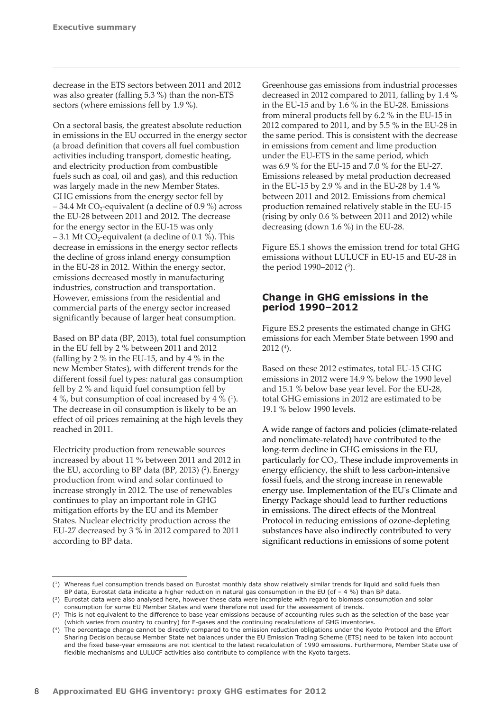<span id="page-9-0"></span>decrease in the ETS sectors between 2011 and 2012 was also greater (falling 5.3 %) than the non-ETS sectors (where emissions fell by 1.9 %).

On a sectoral basis, the greatest absolute reduction in emissions in the EU occurred in the energy sector (a broad definition that covers all fuel combustion activities including transport, domestic heating, and electricity production from combustible fuels such as coal, oil and gas), and this reduction was largely made in the new Member States. GHG emissions from the energy sector fell by – 34.4 Mt CO<sub>2</sub>-equivalent (a decline of 0.9 %) across the EU‑28 between 2011 and 2012. The decrease for the energy sector in the EU‑15 was only  $-3.1$  Mt CO<sub>2</sub>-equivalent (a decline of 0.1 %). This decrease in emissions in the energy sector reflects the decline of gross inland energy consumption in the EU‑28 in 2012. Within the energy sector, emissions decreased mostly in manufacturing industries, construction and transportation. However, emissions from the residential and commercial parts of the energy sector increased significantly because of larger heat consumption.

Based on BP data (BP, 2013), total fuel consumption in the EU fell by 2 % between 2011 and 2012 (falling by 2  $\%$  in the EU-15, and by 4  $\%$  in the new Member States), with different trends for the different fossil fuel types: natural gas consumption fell by 2 % and liquid fuel consumption fell by  $4\%$ , but consumption of coal increased by  $4\%$   $(1)$ . The decrease in oil consumption is likely to be an effect of oil prices remaining at the high levels they reached in 2011.

Electricity production from renewable sources increased by about 11 % between 2011 and 2012 in the EU, according to BP data  $(BP, 2013)$   $(2)$ . Energy production from wind and solar continued to increase strongly in 2012. The use of renewables continues to play an important role in GHG mitigation efforts by the EU and its Member States. Nuclear electricity production across the EU‑27 decreased by 3 % in 2012 compared to 2011 according to BP data.

Greenhouse gas emissions from industrial processes decreased in 2012 compared to 2011, falling by 1.4 % in the EU‑15 and by 1.6 % in the EU‑28. Emissions from mineral products fell by 6.2 % in the EU‑15 in 2012 compared to 2011, and by 5.5 % in the EU‑28 in the same period. This is consistent with the decrease in emissions from cement and lime production under the EU‑ETS in the same period, which was 6.9 % for the EU‑15 and 7.0 % for the EU‑27. Emissions released by metal production decreased in the EU-15 by 2.9 % and in the EU-28 by 1.4 % between 2011 and 2012. Emissions from chemical production remained relatively stable in the EU-15 (rising by only 0.6 % between 2011 and 2012) while decreasing (down 1.6 %) in the EU‑28.

Figure ES.1 shows the emission trend for total GHG emissions without LULUCF in EU‑15 and EU‑28 in the period 1990–2012  $(3)$ .

## **Change in GHG emissions in the period 1990–2012**

Figure ES.2 presents the estimated change in GHG emissions for each Member State between 1990 and  $2012$  (<sup>4</sup>).

Based on these 2012 estimates, total EU‑15 GHG emissions in 2012 were 14.9 % below the 1990 level and 15.1 % below base year level. For the EU‑28, total GHG emissions in 2012 are estimated to be 19.1 % below 1990 levels.

A wide range of factors and policies (climate‑related and nonclimate‑related) have contributed to the long-term decline in GHG emissions in the EU, particularly for  $CO<sub>2</sub>$ . These include improvements in energy efficiency, the shift to less carbon-intensive fossil fuels, and the strong increase in renewable energy use. Implementation of the EU's Climate and Energy Package should lead to further reductions in emissions. The direct effects of the Montreal Protocol in reducing emissions of ozone-depleting substances have also indirectly contributed to very significant reductions in emissions of some potent

<sup>(1)</sup> Whereas fuel consumption trends based on Eurostat monthly data show relatively similar trends for liquid and solid fuels than BP data, Eurostat data indicate a higher reduction in natural gas consumption in the EU (of  $-$  4 %) than BP data.

<sup>(2)</sup> Eurostat data were also analysed here, however these data were incomplete with regard to biomass consumption and solar consumption for some EU Member States and were therefore not used for the assessment of trends.

<sup>(3)</sup> This is not equivalent to the difference to base year emissions because of accounting rules such as the selection of the base year (which varies from country to country) for F-gases and the continuing recalculations of GHG inventories.

<sup>(4)</sup> The percentage change cannot be directly compared to the emission reduction obligations under the Kyoto Protocol and the Effort Sharing Decision because Member State net balances under the EU Emission Trading Scheme (ETS) need to be taken into account and the fixed base-year emissions are not identical to the latest recalculation of 1990 emissions. Furthermore, Member State use of flexible mechanisms and LULUCF activities also contribute to compliance with the Kyoto targets.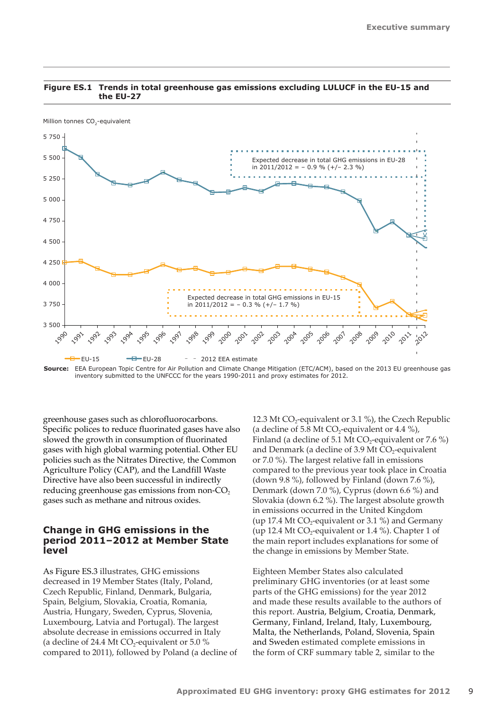

#### <span id="page-10-0"></span>**Figure ES.1 Trends in total greenhouse gas emissions excluding LULUCF in the EU-15 and the EU-27**

**Source:** EEA European Topic Centre for Air Pollution and Climate Change Mitigation (ETC/ACM), based on the 2013 EU greenhouse gas inventory submitted to the UNFCCC for the years 1990-2011 and proxy estimates for 2012.

greenhouse gases such as chlorofluorocarbons. Specific polices to reduce fluorinated gases have also slowed the growth in consumption of fluorinated gases with high global warming potential. Other EU policies such as the Nitrates Directive, the Common Agriculture Policy (CAP), and the Landfill Waste Directive have also been successful in indirectly reducing greenhouse gas emissions from non- $CO<sub>2</sub>$ gases such as methane and nitrous oxides.

### **Change in GHG emissions in the period 2011–2012 at Member State level**

As Figure ES.3 illustrates, GHG emissions decreased in 19 Member States (Italy, Poland, Czech Republic, Finland, Denmark, Bulgaria, Spain, Belgium, Slovakia, Croatia, Romania, Austria, Hungary, Sweden, Cyprus, Slovenia, Luxembourg, Latvia and Portugal). The largest absolute decrease in emissions occurred in Italy (a decline of 24.4 Mt CO<sub>2</sub>-equivalent or  $5.0\%$ compared to 2011), followed by Poland (a decline of 12.3 Mt  $CO_2$ -equivalent or 3.1 %), the Czech Republic (a decline of 5.8 Mt  $CO_2$ -equivalent or 4.4 %), Finland (a decline of 5.1 Mt  $CO_2$ -equivalent or 7.6 %) and Denmark (a decline of 3.9 Mt  $CO<sub>2</sub>$ -equivalent or 7.0 %). The largest relative fall in emissions compared to the previous year took place in Croatia (down 9.8 %), followed by Finland (down 7.6 %), Denmark (down 7.0 %), Cyprus (down 6.6 %) and Slovakia (down 6.2 %). The largest absolute growth in emissions occurred in the United Kingdom (up 17.4 Mt  $CO_2$ -equivalent or 3.1 %) and Germany (up 12.4 Mt  $CO_2$ -equivalent or 1.4 %). Chapter 1 of the main report includes explanations for some of the change in emissions by Member State.

Eighteen Member States also calculated preliminary GHG inventories (or at least some parts of the GHG emissions) for the year 2012 and made these results available to the authors of this report. Austria, Belgium, Croatia, Denmark, Germany, Finland, Ireland, Italy, Luxembourg, Malta, the Netherlands, Poland, Slovenia, Spain and Sweden estimated complete emissions in the form of CRF summary table 2, similar to the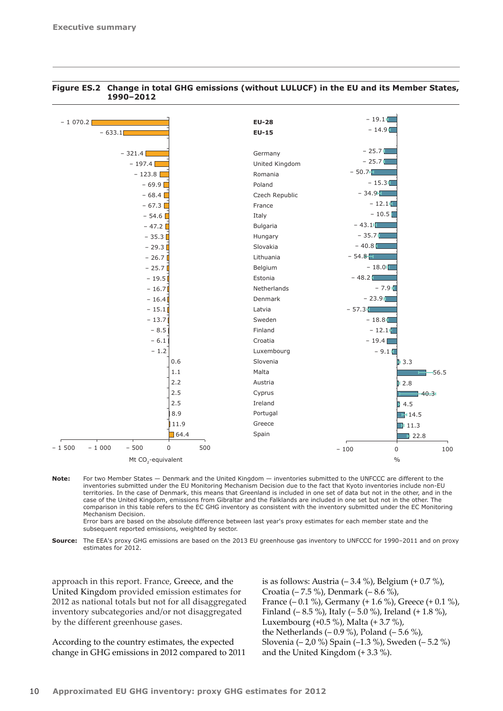

#### **Figure ES.2 Change in total GHG emissions (without LULUCF) in the EU and its Member States, 1990–2012**

**Note:** For two Member States — Denmark and the United Kingdom — inventories submitted to the UNFCCC are different to the inventories submitted under the EU Monitoring Mechanism Decision due to the fact that Kyoto inventories include non-EU territories. In the case of Denmark, this means that Greenland is included in one set of data but not in the other, and in the case of the United Kingdom, emissions from Gibraltar and the Falklands are included in one set but not in the other. The comparison in this table refers to the EC GHG inventory as consistent with the inventory submitted under the EC Monitoring Mechanism Decision.

Error bars are based on the absolute difference between last year's proxy estimates for each member state and the subsequent reported emissions, weighted by sector.

**Source:** The EEA's proxy GHG emissions are based on the 2013 EU greenhouse gas inventory to UNFCCC for 1990–2011 and on proxy estimates for 2012.

approach in this report. France, Greece, and the United Kingdom provided emission estimates for 2012 as national totals but not for all disaggregated inventory subcategories and/or not disaggregated by the different greenhouse gases.

According to the country estimates, the expected change in GHG emissions in 2012 compared to 2011 is as follows: Austria  $(-3.4\%)$ , Belgium  $(+0.7\%)$ , Croatia (– 7.5 %), Denmark (– 8.6 %), France (– 0.1 %), Germany (+ 1.6 %), Greece (+ 0.1 %), Finland (– 8.5 %), Italy (– 5.0 %), Ireland (+ 1.8 %), Luxembourg (+0.5 %), Malta (+ 3.7 %), the Netherlands  $(-0.9\%)$ , Poland  $(-5.6\%)$ , Slovenia (– 2,0 %) Spain (–1.3 %), Sweden (– 5.2 %) and the United Kingdom (+ 3.3 %).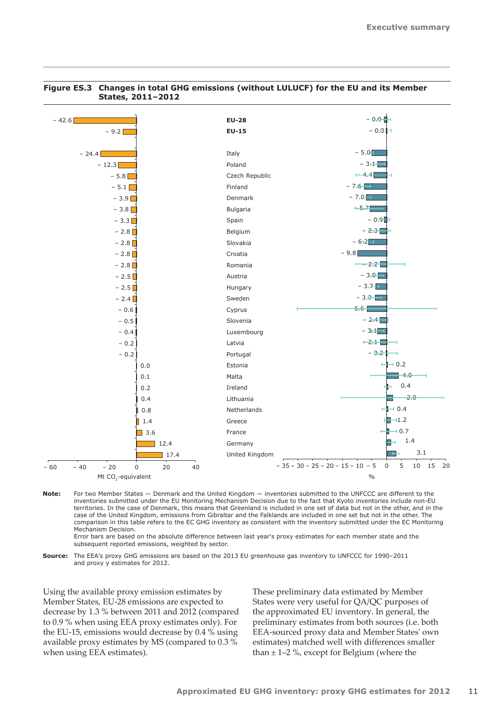

#### **Figure ES.3 Changes in total GHG emissions (without LULUCF) for the EU and its Member States, 2011–2012**

**Note:** For two Member States — Denmark and the United Kingdom — inventories submitted to the UNFCCC are different to the inventories submitted under the EU Monitoring Mechanism Decision due to the fact that Kyoto inventories include non-EU territories. In the case of Denmark, this means that Greenland is included in one set of data but not in the other, and in the case of the United Kingdom, emissions from Gibraltar and the Falklands are included in one set but not in the other. The comparison in this table refers to the EC GHG inventory as consistent with the inventory submitted under the EC Monitoring Mechanism Decision.

Error bars are based on the absolute difference between last year's proxy estimates for each member state and the subsequent reported emissions, weighted by sector.

**Source:** The EEA's proxy GHG emissions are based on the 2013 EU greenhouse gas inventory to UNFCCC for 1990–2011 and proxy y estimates for 2012.

Using the available proxy emission estimates by Member States, EU-28 emissions are expected to decrease by 1.3 % between 2011 and 2012 (compared to 0.9 % when using EEA proxy estimates only). For the EU-15, emissions would decrease by 0.4 % using available proxy estimates by MS (compared to 0.3 % when using EEA estimates).

These preliminary data estimated by Member States were very useful for QA/QC purposes of the approximated EU inventory. In general, the preliminary estimates from both sources (i.e. both EEA‑sourced proxy data and Member States' own estimates) matched well with differences smaller than  $\pm$  1–2 %, except for Belgium (where the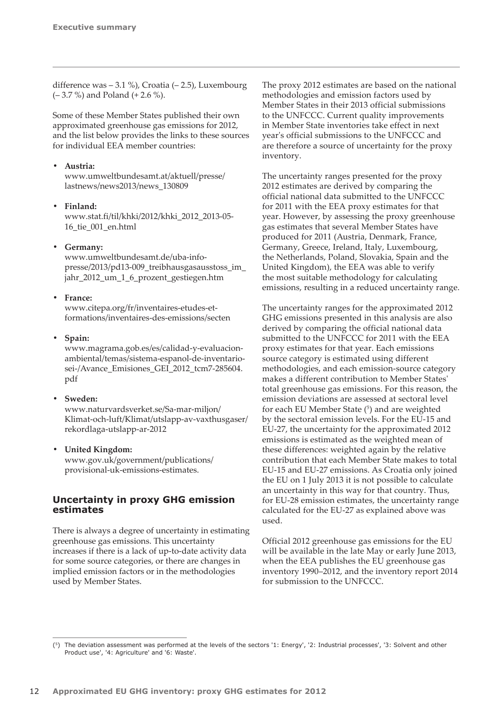<span id="page-13-0"></span>difference was – 3.1 %), Croatia (– 2.5), Luxembourg (– 3.7 %) and Poland (+ 2.6 %).

Some of these Member States published their own approximated greenhouse gas emissions for 2012, and the list below provides the links to these sources for individual EEA member countries:

## **• Austria:**

www.umweltbundesamt.at/aktuell/presse/ lastnews/news2013/news\_130809

**Finland:** [www.stat.fi/til/khki/2012/khki\\_2012\\_2013-05-](file:///C:\Users\odoherty\AppData\Local\Microsoft\Windows\Temporary%20Internet%20Files\Content.Outlook\P57D1DBU\www.stat.fi\til\khki\2012\khki_2012_2013-05-16_tie_001_en.html)[16\\_tie\\_001\\_en.html](file:///C:\Users\odoherty\AppData\Local\Microsoft\Windows\Temporary%20Internet%20Files\Content.Outlook\P57D1DBU\www.stat.fi\til\khki\2012\khki_2012_2013-05-16_tie_001_en.html)

## **• Germany:**

[www.umweltbundesamt.de/uba-info](file:///C:\Users\odoherty\AppData\Local\Microsoft\Windows\Temporary%20Internet%20Files\Content.Outlook\P57D1DBU\www.umweltbundesamt.de\uba-info-presse\2013\pd13-009_treibhausgasausstoss_im_jahr_2012_um_1_6_prozent_gestiegen.htm)[presse/2013/pd13-009\\_treibhausgasausstoss\\_im\\_](file:///C:\Users\odoherty\AppData\Local\Microsoft\Windows\Temporary%20Internet%20Files\Content.Outlook\P57D1DBU\www.umweltbundesamt.de\uba-info-presse\2013\pd13-009_treibhausgasausstoss_im_jahr_2012_um_1_6_prozent_gestiegen.htm) [jahr\\_2012\\_um\\_1\\_6\\_prozent\\_gestiegen.htm](file:///C:\Users\odoherty\AppData\Local\Microsoft\Windows\Temporary%20Internet%20Files\Content.Outlook\P57D1DBU\www.umweltbundesamt.de\uba-info-presse\2013\pd13-009_treibhausgasausstoss_im_jahr_2012_um_1_6_prozent_gestiegen.htm) 

## **France:**

[www.citepa.org/fr/inventaires-etudes-et](file:///C:\Users\odoherty\AppData\Local\Microsoft\Windows\Temporary%20Internet%20Files\Content.Outlook\P57D1DBU\www.citepa.org\fr\inventaires-etudes-et-formations\inventaires-des-emissions\secten)[formations/inventaires-des-emissions/secten](file:///C:\Users\odoherty\AppData\Local\Microsoft\Windows\Temporary%20Internet%20Files\Content.Outlook\P57D1DBU\www.citepa.org\fr\inventaires-etudes-et-formations\inventaires-des-emissions\secten) 

## **Spain:**

[www.magrama.gob.es/es/calidad-y-evaluacion](file:///C:\Users\odoherty\AppData\Local\Microsoft\Windows\Temporary%20Internet%20Files\Content.Outlook\P57D1DBU\www.magrama.gob.es\es\calidad-y-evaluacion-ambiental\temas\sistema-espanol-de-inventario-sei-\Avance_Emisiones_GEI_2012_tcm7-285604.pdf)[ambiental/temas/sistema-espanol-de-inventario](file:///C:\Users\odoherty\AppData\Local\Microsoft\Windows\Temporary%20Internet%20Files\Content.Outlook\P57D1DBU\www.magrama.gob.es\es\calidad-y-evaluacion-ambiental\temas\sistema-espanol-de-inventario-sei-\Avance_Emisiones_GEI_2012_tcm7-285604.pdf)[sei-/Avance\\_Emisiones\\_GEI\\_2012\\_tcm7-285604.](file:///C:\Users\odoherty\AppData\Local\Microsoft\Windows\Temporary%20Internet%20Files\Content.Outlook\P57D1DBU\www.magrama.gob.es\es\calidad-y-evaluacion-ambiental\temas\sistema-espanol-de-inventario-sei-\Avance_Emisiones_GEI_2012_tcm7-285604.pdf) [pdf](file:///C:\Users\odoherty\AppData\Local\Microsoft\Windows\Temporary%20Internet%20Files\Content.Outlook\P57D1DBU\www.magrama.gob.es\es\calidad-y-evaluacion-ambiental\temas\sistema-espanol-de-inventario-sei-\Avance_Emisiones_GEI_2012_tcm7-285604.pdf) 

#### **Sweden:**

[www.naturvardsverket.se/Sa-mar-miljon/](file:///C:\Users\odoherty\AppData\Local\Microsoft\Windows\Temporary%20Internet%20Files\Content.Outlook\P57D1DBU\www.naturvardsverket.se\Sa-mar-miljon\Klimat-och-luft\Klimat\utslapp-av-vaxthusgaser\rekordlaga-utslapp-ar-2012\) [Klimat-och-luft/Klimat/utslapp-av-vaxthusgaser/](file:///C:\Users\odoherty\AppData\Local\Microsoft\Windows\Temporary%20Internet%20Files\Content.Outlook\P57D1DBU\www.naturvardsverket.se\Sa-mar-miljon\Klimat-och-luft\Klimat\utslapp-av-vaxthusgaser\rekordlaga-utslapp-ar-2012\) [rekordlaga-utslapp-ar-2012](file:///C:\Users\odoherty\AppData\Local\Microsoft\Windows\Temporary%20Internet%20Files\Content.Outlook\P57D1DBU\www.naturvardsverket.se\Sa-mar-miljon\Klimat-och-luft\Klimat\utslapp-av-vaxthusgaser\rekordlaga-utslapp-ar-2012\)

#### *<u>United Kingdom:</u>*

[www.gov.uk/government/publications/](file:///C:\Users\odoherty\AppData\Local\Microsoft\Windows\Temporary%20Internet%20Files\Content.Outlook\P57D1DBU\www.gov.uk\government\publications\provisional-uk-emissions-estimates) [provisional-uk-emissions-estimates](file:///C:\Users\odoherty\AppData\Local\Microsoft\Windows\Temporary%20Internet%20Files\Content.Outlook\P57D1DBU\www.gov.uk\government\publications\provisional-uk-emissions-estimates).

# **Uncertainty in proxy GHG emission estimates**

There is always a degree of uncertainty in estimating greenhouse gas emissions. This uncertainty increases if there is a lack of up-to-date activity data for some source categories, or there are changes in implied emission factors or in the methodologies used by Member States.

The proxy 2012 estimates are based on the national methodologies and emission factors used by Member States in their 2013 official submissions to the UNFCCC. Current quality improvements in Member State inventories take effect in next year's official submissions to the UNFCCC and are therefore a source of uncertainty for the proxy inventory.

The uncertainty ranges presented for the proxy 2012 estimates are derived by comparing the official national data submitted to the UNFCCC for 2011 with the EEA proxy estimates for that year. However, by assessing the proxy greenhouse gas estimates that several Member States have produced for 2011 (Austria, Denmark, France, Germany, Greece, Ireland, Italy, Luxembourg, the Netherlands, Poland, Slovakia, Spain and the United Kingdom), the EEA was able to verify the most suitable methodology for calculating emissions, resulting in a reduced uncertainty range.

The uncertainty ranges for the approximated 2012 GHG emissions presented in this analysis are also derived by comparing the official national data submitted to the UNFCCC for 2011 with the EEA proxy estimates for that year. Each emissions source category is estimated using different methodologies, and each emission-source category makes a different contribution to Member States' total greenhouse gas emissions. For this reason, the emission deviations are assessed at sectoral level for each EU Member State  $(5)$  and are weighted by the sectoral emission levels. For the EU‑15 and EU‑27, the uncertainty for the approximated 2012 emissions is estimated as the weighted mean of these differences: weighted again by the relative contribution that each Member State makes to total EU‑15 and EU‑27 emissions. As Croatia only joined the EU on 1 July 2013 it is not possible to calculate an uncertainty in this way for that country. Thus, for EU‑28 emission estimates, the uncertainty range calculated for the EU‑27 as explained above was used.

Official 2012 greenhouse gas emissions for the EU will be available in the late May or early June 2013, when the EEA publishes the EU greenhouse gas inventory 1990–2012, and the inventory report 2014 for submission to the UNFCCC.

<sup>(5)</sup> The deviation assessment was performed at the levels of the sectors '1: Energy', '2: Industrial processes', '3: Solvent and other Product use', '4: Agriculture' and '6: Waste'.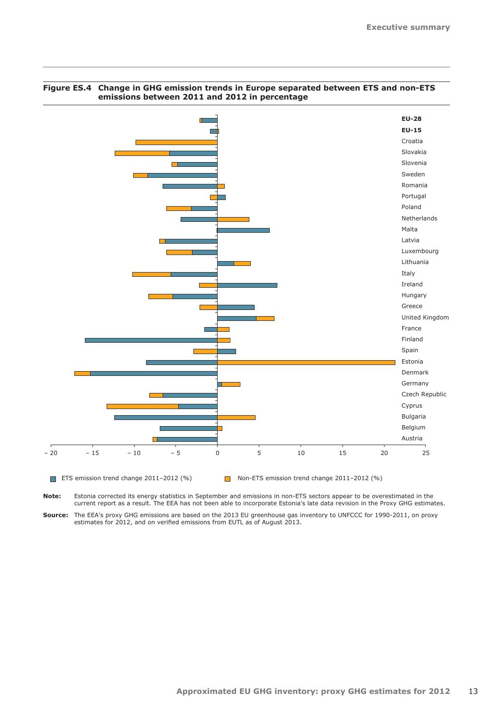

## **Figure ES.4 Change in GHG emission trends in Europe separated between ETS and non-ETS emissions between 2011 and 2012 in percentage**

**Note:** Estonia corrected its energy statistics in September and emissions in non-ETS sectors appear to be overestimated in the current report as a result. The EEA has not been able to incorporate Estonia's late data revision in the Proxy GHG estimates.

**Source:** The EEA's proxy GHG emissions are based on the 2013 EU greenhouse gas inventory to UNFCCC for 1990-2011, on proxy estimates for 2012, and on verified emissions from EUTL as of August 2013.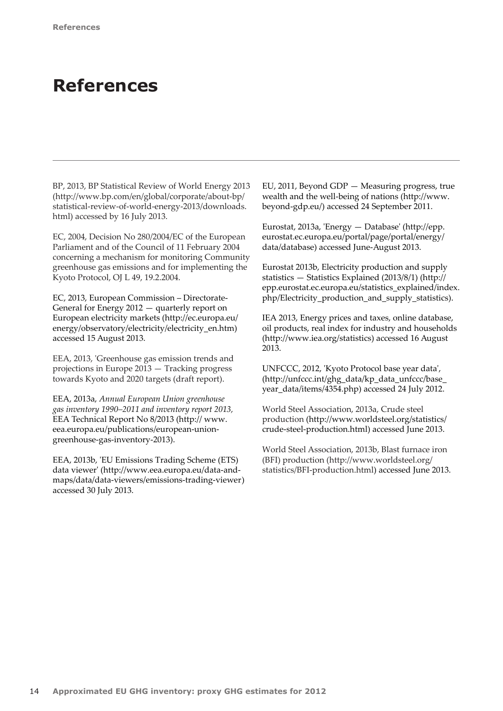# <span id="page-15-0"></span>**References**

BP, 2013, BP Statistical Review of World Energy 2013 (http://www.bp.com/en/global/corporate/about-bp/ statistical-review-of-world-energy-2013/downloads. html) accessed by 16 July 2013.

EC, 2004, Decision No 280/2004/EC of the European Parliament and of the Council of 11 February 2004 concerning a mechanism for monitoring Community greenhouse gas emissions and for implementing the Kyoto Protocol, OJ L 49, 19.2.2004.

EC, 2013, European Commission – Directorate-General for Energy 2012 — quarterly report on European electricity markets (http://ec.europa.eu/ energy/observatory/electricity/electricity\_en.htm) accessed 15 August 2013.

EEA, 2013, 'Greenhouse gas emission trends and projections in Europe 2013 — Tracking progress towards Kyoto and 2020 targets (draft report).

EEA, 2013a, *Annual European Union greenhouse gas inventory 1990–2011 and inventory report 2013,*  EEA Technical Report No 8/2013 (http:// www. eea.europa.eu/publications/european-uniongreenhouse-gas-inventory-2013).

EEA, 2013b, 'EU Emissions Trading Scheme (ETS) data viewer' (http://www.eea.europa.eu/data-andmaps/data/data-viewers/emissions-trading-viewer) accessed 30 July 2013.

EU, 2011, Beyond GDP — Measuring progress, true wealth and the well-being of nations (http://www. beyond-gdp.eu/) accessed 24 September 2011.

Eurostat, 2013a, 'Energy — Database' (http://epp. eurostat.ec.europa.eu/portal/page/portal/energy/ data/database) accessed June-August 2013.

Eurostat 2013b, Electricity production and supply statistics — Statistics Explained (2013/8/1) (http:// epp.eurostat.ec.europa.eu/statistics\_explained/index. php/Electricity\_production\_and\_supply\_statistics).

IEA 2013, Energy prices and taxes, online database, oil products, real index for industry and households (http://www.iea.org/statistics) accessed 16 August 2013.

UNFCCC, 2012, 'Kyoto Protocol base year data', (http://unfccc.int/ghg\_data/kp\_data\_unfccc/base\_ year\_data/items/4354.php) accessed 24 July 2012.

World Steel Association, 2013a, Crude steel production (http://www.worldsteel.org/statistics/ crude-steel-production.html) accessed June 2013.

World Steel Association, 2013b, Blast furnace iron (BFI) production (http://www.worldsteel.org/ statistics/BFI-production.html) accessed June 2013.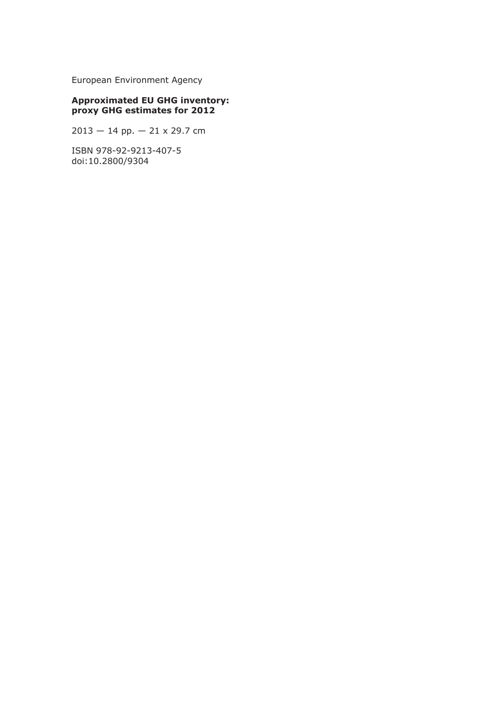European Environment Agency

#### **Approximated EU GHG inventory: proxy GHG estimates for 2012**

2013 — 14 pp. — 21 x 29.7 cm

ISBN 978-92-9213-407-5 doi:10.2800/9304